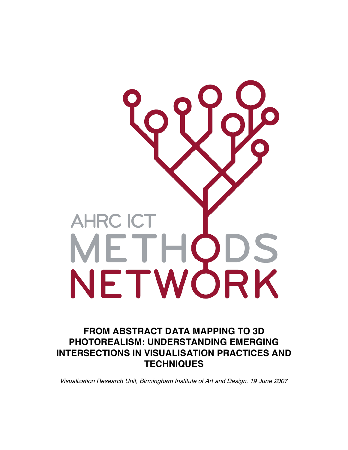# **AHRC ICT** METHODS<br>NETWORK

# **FROM ABSTRACT DATA MAPPING TO 3D PHOTOREALISM: UNDERSTANDING EMERGING INTERSECTIONS IN VISUALISATION PRACTICES AND TECHNIQUES**

Visualization Research Unit, Birmingham Institute of Art and Design, 19 June 2007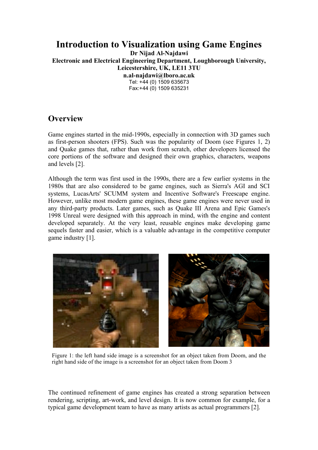# **Introduction to Visualization using Game Engines**

**Dr Nijad Al-Najdawi Electronic and Electrical Engineering Department, Loughborough University, Leicestershire, UK, LE11 3TU n.al-najdawi@lboro.ac.uk**  Tel: +44 (0) 1509 635673

Fax:+44 (0) 1509 635231

### **Overview**

Game engines started in the mid-1990s, especially in connection with 3D games such as first-person shooters (FPS). Such was the popularity of Doom (see Figures 1, 2) and Quake games that, rather than work from scratch, other developers licensed the core portions of the software and designed their own graphics, characters, weapons and levels [2].

Although the term was first used in the 1990s, there are a few earlier systems in the 1980s that are also considered to be game engines, such as Sierra's AGI and SCI systems, LucasArts' SCUMM system and Incentive Software's Freescape engine. However, unlike most modern game engines, these game engines were never used in any third-party products. Later games, such as Quake III Arena and Epic Games's 1998 Unreal were designed with this approach in mind, with the engine and content developed separately. At the very least, reusable engines make developing game sequels faster and easier, which is a valuable advantage in the competitive computer game industry [1].



Figure 1: the left hand side image is a screenshot for an object taken from Doom, and the right hand side of the image is a screenshot for an object taken from Doom 3

The continued refinement of game engines has created a strong separation between rendering, scripting, art-work, and level design. It is now common for example, for a typical game development team to have as many artists as actual programmers [2].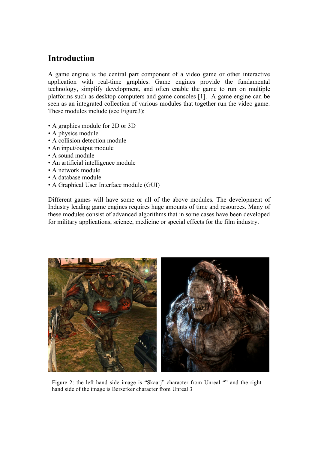### **Introduction**

A game engine is the central part component of a video game or other interactive application with real-time graphics. Game engines provide the fundamental technology, simplify development, and often enable the game to run on multiple platforms such as desktop computers and game consoles [1]. A game engine can be seen as an integrated collection of various modules that together run the video game. These modules include (see Figure3):

- A graphics module for 2D or 3D
- A physics module
- A collision detection module
- An input/output module
- A sound module
- An artificial intelligence module
- A network module
- A database module
- A Graphical User Interface module (GUI)

Different games will have some or all of the above modules. The development of Industry leading game engines requires huge amounts of time and resources. Many of these modules consist of advanced algorithms that in some cases have been developed for military applications, science, medicine or special effects for the film industry.



Figure 2: the left hand side image is "Skaarj" character from Unreal "" and the right hand side of the image is Berserker character from Unreal 3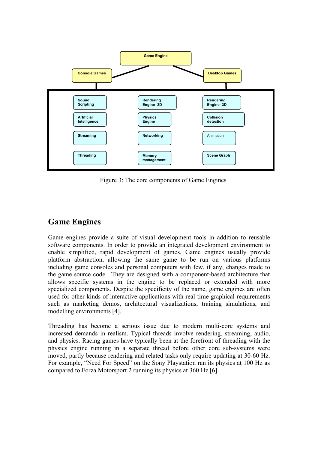

Figure 3: The core components of Game Engines

### **Game Engines**

Game engines provide a suite of visual development tools in addition to reusable software components. In order to provide an integrated development environment to enable simplified, rapid development of games. Game engines usually provide platform abstraction, allowing the same game to be run on various platforms including game consoles and personal computers with few, if any, changes made to the game source code. They are designed with a component-based architecture that allows specific systems in the engine to be replaced or extended with more specialized components. Despite the specificity of the name, game engines are often used for other kinds of interactive applications with real-time graphical requirements such as marketing demos, architectural visualizations, training simulations, and modelling environments [4].

Threading has become a serious issue due to modern multi-core systems and increased demands in realism. Typical threads involve rendering, streaming, audio, and physics. Racing games have typically been at the forefront of threading with the physics engine running in a separate thread before other core sub-systems were moved, partly because rendering and related tasks only require updating at 30-60 Hz. For example, "Need For Speed" on the Sony Playstation ran its physics at 100 Hz as compared to Forza Motorsport 2 running its physics at 360 Hz [6].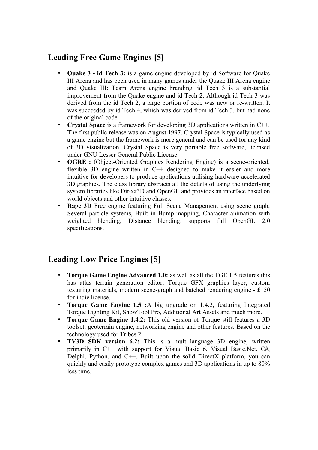# **Leading Free Game Engines [5]**

- **Quake 3 id Tech 3:** is a game engine developed by id Software for Quake III Arena and has been used in many games under the Quake III Arena engine and Quake III: Team Arena engine branding. id Tech 3 is a substantial improvement from the Quake engine and id Tech 2. Although id Tech 3 was derived from the id Tech 2, a large portion of code was new or re-written. It was succeeded by id Tech 4, which was derived from id Tech 3, but had none of the original code**.**
- **Crystal Space** is a framework for developing 3D applications written in C++. The first public release was on August 1997. Crystal Space is typically used as a game engine but the framework is more general and can be used for any kind of 3D visualization. Crystal Space is very portable free software, licensed under GNU Lesser General Public License.
- **OGRE :** (Object-Oriented Graphics Rendering Engine) is a scene-oriented, flexible 3D engine written in C++ designed to make it easier and more intuitive for developers to produce applications utilising hardware-accelerated 3D graphics. The class library abstracts all the details of using the underlying system libraries like Direct3D and OpenGL and provides an interface based on world objects and other intuitive classes.
- **Rage 3D** Free engine featuring Full Scene Management using scene graph, Several particle systems, Built in Bump-mapping, Character animation with weighted blending, Distance blending. supports full OpenGL 2.0 specifications.

# **Leading Low Price Engines [5]**

- **Torque Game Engine Advanced 1.0:** as well as all the TGE 1.5 features this has atlas terrain generation editor, Torque GFX graphics layer, custom texturing materials, modern scene-graph and batched rendering engine - £150 for indie license.
- **Torque Game Engine 1.5 :**A big upgrade on 1.4.2, featuring Integrated Torque Lighting Kit, ShowTool Pro, Additional Art Assets and much more.
- **Torque Game Engine 1.4.2:** This old version of Torque still features a 3D toolset, geoterrain engine, networking engine and other features. Based on the technology used for Tribes 2.
- **TV3D SDK version 6.2:** This is a multi-language 3D engine, written primarily in C++ with support for Visual Basic 6, Visual Basic.Net, C#, Delphi, Python, and C++. Built upon the solid DirectX platform, you can quickly and easily prototype complex games and 3D applications in up to 80% less time.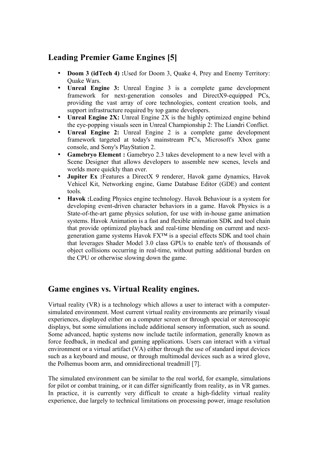### **Leading Premier Game Engines [5]**

- **Doom 3 (idTech 4) :**Used for Doom 3, Quake 4, Prey and Enemy Territory: Quake Wars.
- **Unreal Engine 3:** Unreal Engine 3 is a complete game development framework for next-generation consoles and DirectX9-equipped PCs, providing the vast array of core technologies, content creation tools, and support infrastructure required by top game developers.
- **Unreal Engine 2X:** Unreal Engine 2X is the highly optimized engine behind the eye-popping visuals seen in Unreal Championship 2: The Liandri Conflict.
- **Unreal Engine 2:** Unreal Engine 2 is a complete game development framework targeted at today's mainstream PC's, Microsoft's Xbox game console, and Sony's PlayStation 2.
- **Gamebryo Element :** Gamebryo 2.3 takes development to a new level with a Scene Designer that allows developers to assemble new scenes, levels and worlds more quickly than ever.
- **Jupiter Ex :**Features a DirectX 9 renderer, Havok game dynamics, Havok Vehicel Kit, Networking engine, Game Database Editor (GDE) and content tools.
- **Havok :**Leading Physics engine technology. Havok Behaviour is a system for developing event-driven character behaviors in a game. Havok Physics is a State-of-the-art game physics solution, for use with in-house game animation systems. Havok Animation is a fast and flexible animation SDK and tool chain that provide optimized playback and real-time blending on current and nextgeneration game systems Havok FX™ is a special effects SDK and tool chain that leverages Shader Model 3.0 class GPUs to enable ten's of thousands of object collisions occurring in real-time, without putting additional burden on the CPU or otherwise slowing down the game.

# **Game engines vs. Virtual Reality engines.**

Virtual reality (VR) is a technology which allows a user to interact with a computersimulated environment. Most current virtual reality environments are primarily visual experiences, displayed either on a computer screen or through special or stereoscopic displays, but some simulations include additional sensory information, such as sound. Some advanced, haptic systems now include tactile information, generally known as force feedback, in medical and gaming applications. Users can interact with a virtual environment or a virtual artifact (VA) either through the use of standard input devices such as a keyboard and mouse, or through multimodal devices such as a wired glove, the Polhemus boom arm, and omnidirectional treadmill [7].

The simulated environment can be similar to the real world, for example, simulations for pilot or combat training, or it can differ significantly from reality, as in VR games. In practice, it is currently very difficult to create a high-fidelity virtual reality experience, due largely to technical limitations on processing power, image resolution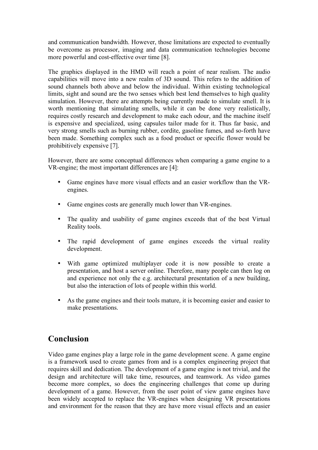and communication bandwidth. However, those limitations are expected to eventually be overcome as processor, imaging and data communication technologies become more powerful and cost-effective over time [8].

The graphics displayed in the HMD will reach a point of near realism. The audio capabilities will move into a new realm of 3D sound. This refers to the addition of sound channels both above and below the individual. Within existing technological limits, sight and sound are the two senses which best lend themselves to high quality simulation. However, there are attempts being currently made to simulate smell. It is worth mentioning that simulating smells, while it can be done very realistically, requires costly research and development to make each odour, and the machine itself is expensive and specialized, using capsules tailor made for it. Thus far basic, and very strong smells such as burning rubber, cordite, gasoline fumes, and so-forth have been made. Something complex such as a food product or specific flower would be prohibitively expensive [7].

However, there are some conceptual differences when comparing a game engine to a VR-engine; the most important differences are [4]:

- Game engines have more visual effects and an easier workflow than the VRengines.
- Game engines costs are generally much lower than VR-engines.
- The quality and usability of game engines exceeds that of the best Virtual Reality tools.
- The rapid development of game engines exceeds the virtual reality development.
- With game optimized multiplayer code it is now possible to create a presentation, and host a server online. Therefore, many people can then log on and experience not only the e.g. architectural presentation of a new building, but also the interaction of lots of people within this world.
- As the game engines and their tools mature, it is becoming easier and easier to make presentations.

### **Conclusion**

Video game engines play a large role in the game development scene. A game engine is a framework used to create games from and is a complex engineering project that requires skill and dedication. The development of a game engine is not trivial, and the design and architecture will take time, resources, and teamwork. As video games become more complex, so does the engineering challenges that come up during development of a game. However, from the user point of view game engines have been widely accepted to replace the VR-engines when designing VR presentations and environment for the reason that they are have more visual effects and an easier